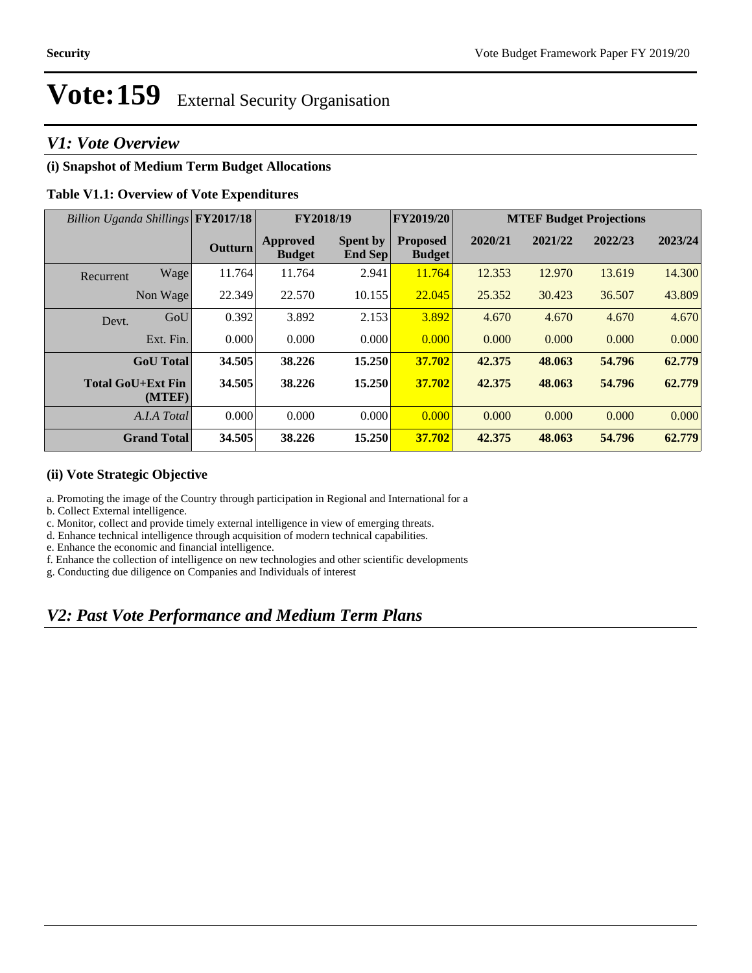## *V1: Vote Overview*

### **(i) Snapshot of Medium Term Budget Allocations**

### **Table V1.1: Overview of Vote Expenditures**

| Billion Uganda Shillings FY2017/18 |                                    |                | FY2018/19                        |                                   | FY2019/20                        | <b>MTEF Budget Projections</b> |         |         |         |
|------------------------------------|------------------------------------|----------------|----------------------------------|-----------------------------------|----------------------------------|--------------------------------|---------|---------|---------|
|                                    |                                    | <b>Outturn</b> | <b>Approved</b><br><b>Budget</b> | <b>Spent by</b><br><b>End Sep</b> | <b>Proposed</b><br><b>Budget</b> | 2020/21                        | 2021/22 | 2022/23 | 2023/24 |
| Recurrent                          | Wage                               | 11.764         | 11.764                           | 2.941                             | 11.764                           | 12.353                         | 12.970  | 13.619  | 14.300  |
|                                    | Non Wage                           | 22.349         | 22.570                           | 10.155                            | 22.045                           | 25.352                         | 30.423  | 36.507  | 43.809  |
| Devt.                              | GoU                                | 0.392          | 3.892                            | 2.153                             | 3.892                            | 4.670                          | 4.670   | 4.670   | 4.670   |
|                                    | Ext. Fin.                          | 0.000          | 0.000                            | 0.000                             | 0.000                            | 0.000                          | 0.000   | 0.000   | 0.000   |
|                                    | <b>GoU</b> Total                   | 34.505         | 38.226                           | 15.250                            | 37.702                           | 42.375                         | 48.063  | 54.796  | 62.779  |
|                                    | <b>Total GoU+Ext Fin</b><br>(MTEF) | 34.505         | 38.226                           | 15.250                            | 37.702                           | 42.375                         | 48.063  | 54.796  | 62.779  |
|                                    | A.I.A Total                        | 0.000          | 0.000                            | 0.000                             | 0.000                            | 0.000                          | 0.000   | 0.000   | 0.000   |
|                                    | <b>Grand Total</b>                 | 34.505         | 38.226                           | 15.250                            | 37.702                           | 42.375                         | 48.063  | 54.796  | 62.779  |

#### **(ii) Vote Strategic Objective**

a. Promoting the image of the Country through participation in Regional and International for a

b. Collect External intelligence.

c. Monitor, collect and provide timely external intelligence in view of emerging threats.

d. Enhance technical intelligence through acquisition of modern technical capabilities.

e. Enhance the economic and financial intelligence.

f. Enhance the collection of intelligence on new technologies and other scientific developments

g. Conducting due diligence on Companies and Individuals of interest

## *V2: Past Vote Performance and Medium Term Plans*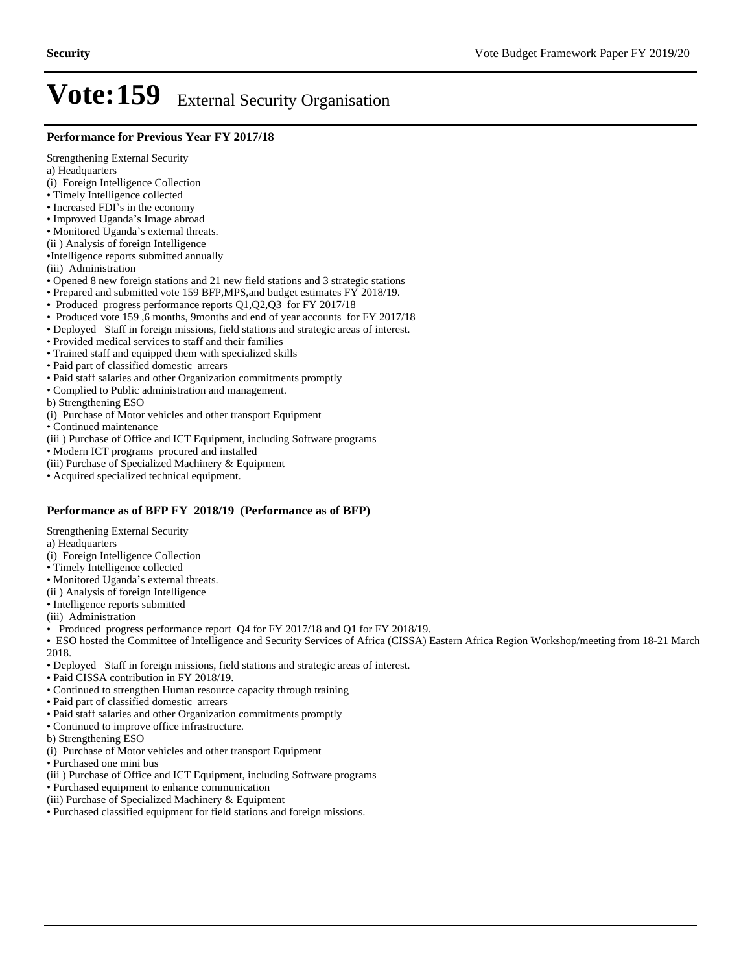#### **Performance for Previous Year FY 2017/18**

Strengthening External Security a) Headquarters (i) Foreign Intelligence Collection Timely Intelligence collected • Increased FDI's in the economy • Improved Uganda's Image abroad • Monitored Uganda's external threats. (ii ) Analysis of foreign Intelligence Intelligence reports submitted annually (iii) Administration Opened 8 new foreign stations and 21 new field stations and 3 strategic stations Prepared and submitted vote 159 BFP,MPS,and budget estimates FY 2018/19. • Produced progress performance reports Q1,Q2,Q3 for FY 2017/18 Produced vote 159 ,6 months, 9months and end of year accounts for FY 2017/18 Deployed Staff in foreign missions, field stations and strategic areas of interest. Provided medical services to staff and their families Trained staff and equipped them with specialized skills

Paid part of classified domestic arrears

- Paid staff salaries and other Organization commitments promptly
- Complied to Public administration and management.
- b) Strengthening ESO
- (i) Purchase of Motor vehicles and other transport Equipment

Continued maintenance

(iii ) Purchase of Office and ICT Equipment, including Software programs

Modern ICT programs procured and installed

(iii) Purchase of Specialized Machinery & Equipment

Acquired specialized technical equipment.

#### **Performance as of BFP FY 2018/19 (Performance as of BFP)**

Strengthening External Security

a) Headquarters

- (i) Foreign Intelligence Collection
- Timely Intelligence collected
- Monitored Uganda's external threats.
- (ii ) Analysis of foreign Intelligence

• Intelligence reports submitted

(iii) Administration

• Produced progress performance report Q4 for FY 2017/18 and Q1 for FY 2018/19.

ESO hosted the Committee of Intelligence and Security Services of Africa (CISSA) Eastern Africa Region Workshop/meeting from 18-21 March 2018.

Deployed Staff in foreign missions, field stations and strategic areas of interest.

- Paid CISSA contribution in FY 2018/19.
- Continued to strengthen Human resource capacity through training
- Paid part of classified domestic arrears
- Paid staff salaries and other Organization commitments promptly
- Continued to improve office infrastructure.
- b) Strengthening ESO
- (i) Purchase of Motor vehicles and other transport Equipment
- Purchased one mini bus
- (iii ) Purchase of Office and ICT Equipment, including Software programs

Purchased equipment to enhance communication

- (iii) Purchase of Specialized Machinery & Equipment
- Purchased classified equipment for field stations and foreign missions.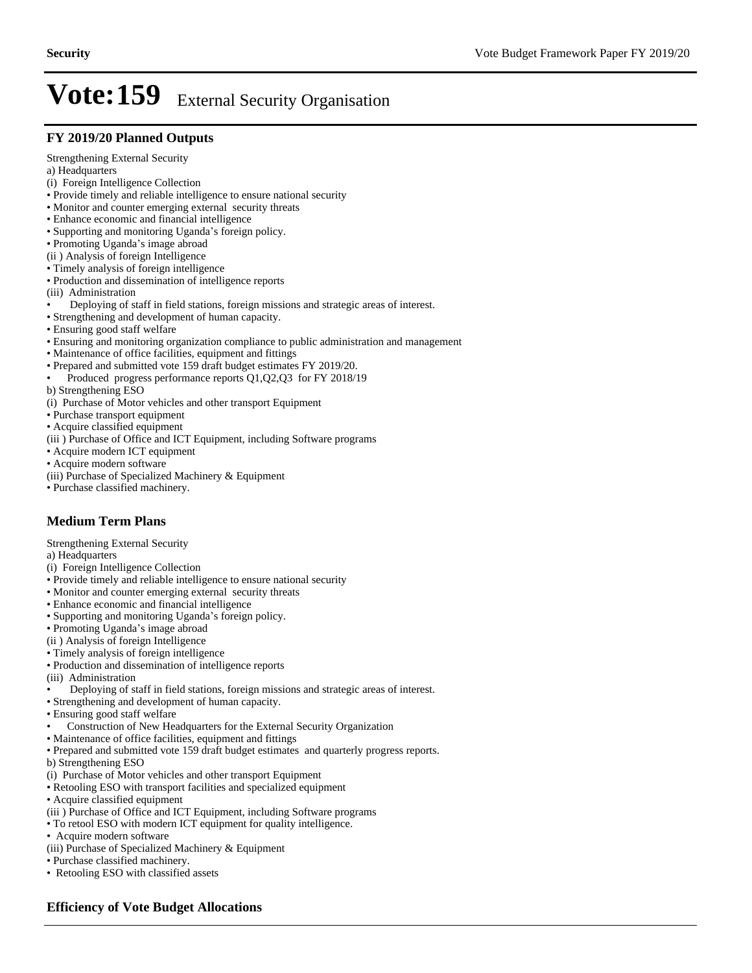#### **FY 2019/20 Planned Outputs**

Strengthening External Security

a) Headquarters

- (i) Foreign Intelligence Collection
- Provide timely and reliable intelligence to ensure national security
- Monitor and counter emerging external security threats
- Enhance economic and financial intelligence
- Supporting and monitoring Uganda's foreign policy.
- Promoting Uganda's image abroad
- (ii ) Analysis of foreign Intelligence
- Timely analysis of foreign intelligence
- Production and dissemination of intelligence reports
- (iii) Administration
- Deploying of staff in field stations, foreign missions and strategic areas of interest.
- Strengthening and development of human capacity.
- Ensuring good staff welfare
- Ensuring and monitoring organization compliance to public administration and management
- Maintenance of office facilities, equipment and fittings
- Prepared and submitted vote 159 draft budget estimates FY 2019/20.
- Produced progress performance reports Q1,Q2,Q3 for FY 2018/19
- b) Strengthening ESO
- (i) Purchase of Motor vehicles and other transport Equipment
- Purchase transport equipment
- Acquire classified equipment
- (iii ) Purchase of Office and ICT Equipment, including Software programs
- Acquire modern ICT equipment
- Acquire modern software
- (iii) Purchase of Specialized Machinery & Equipment
- Purchase classified machinery.

## **Medium Term Plans**

Strengthening External Security

a) Headquarters

- (i) Foreign Intelligence Collection
- Provide timely and reliable intelligence to ensure national security
- Monitor and counter emerging external security threats
- Enhance economic and financial intelligence
- Supporting and monitoring Uganda's foreign policy.
- Promoting Uganda's image abroad
- (ii ) Analysis of foreign Intelligence
- Timely analysis of foreign intelligence
- Production and dissemination of intelligence reports
- (iii) Administration
- Deploying of staff in field stations, foreign missions and strategic areas of interest.
- Strengthening and development of human capacity.
- Ensuring good staff welfare
- Construction of New Headquarters for the External Security Organization
- Maintenance of office facilities, equipment and fittings
- Prepared and submitted vote 159 draft budget estimates and quarterly progress reports.
- b) Strengthening ESO
- (i) Purchase of Motor vehicles and other transport Equipment
- Retooling ESO with transport facilities and specialized equipment
- Acquire classified equipment
- (iii ) Purchase of Office and ICT Equipment, including Software programs
- To retool ESO with modern ICT equipment for quality intelligence.
- Acquire modern software
- (iii) Purchase of Specialized Machinery & Equipment
- Purchase classified machinery.
- Retooling ESO with classified assets

### **Efficiency of Vote Budget Allocations**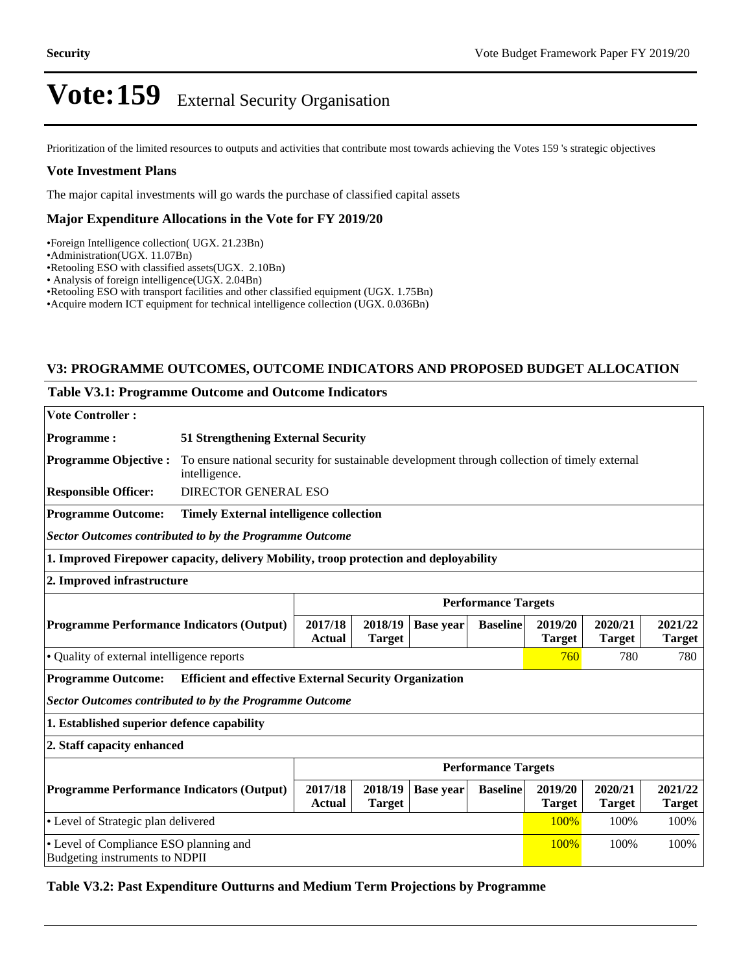Prioritization of the limited resources to outputs and activities that contribute most towards achieving the Votes 159 's strategic objectives

#### **Vote Investment Plans**

The major capital investments will go wards the purchase of classified capital assets

#### **Major Expenditure Allocations in the Vote for FY 2019/20**

Foreign Intelligence collection( UGX. 21.23Bn)

Administration(UGX. 11.07Bn)

Retooling ESO with classified assets(UGX. 2.10Bn)

Analysis of foreign intelligence(UGX. 2.04Bn)

Retooling ESO with transport facilities and other classified equipment (UGX. 1.75Bn)

Acquire modern ICT equipment for technical intelligence collection (UGX. 0.036Bn)

### **V3: PROGRAMME OUTCOMES, OUTCOME INDICATORS AND PROPOSED BUDGET ALLOCATION**

#### **Table V3.1: Programme Outcome and Outcome Indicators**

| <b>Vote Controller:</b>                                                                                                                                                                                 |                                                                                                                |                                           |                          |                  |                 |                          |                          |                          |
|---------------------------------------------------------------------------------------------------------------------------------------------------------------------------------------------------------|----------------------------------------------------------------------------------------------------------------|-------------------------------------------|--------------------------|------------------|-----------------|--------------------------|--------------------------|--------------------------|
| <b>Programme:</b>                                                                                                                                                                                       |                                                                                                                | <b>51 Strengthening External Security</b> |                          |                  |                 |                          |                          |                          |
| <b>Programme Objective:</b>                                                                                                                                                                             | To ensure national security for sustainable development through collection of timely external<br>intelligence. |                                           |                          |                  |                 |                          |                          |                          |
| <b>Responsible Officer:</b>                                                                                                                                                                             | <b>DIRECTOR GENERAL ESO</b>                                                                                    |                                           |                          |                  |                 |                          |                          |                          |
| <b>Programme Outcome:</b>                                                                                                                                                                               | <b>Timely External intelligence collection</b>                                                                 |                                           |                          |                  |                 |                          |                          |                          |
| <b>Sector Outcomes contributed to by the Programme Outcome</b>                                                                                                                                          |                                                                                                                |                                           |                          |                  |                 |                          |                          |                          |
| 1. Improved Firepower capacity, delivery Mobility, troop protection and deployability                                                                                                                   |                                                                                                                |                                           |                          |                  |                 |                          |                          |                          |
| 2. Improved infrastructure                                                                                                                                                                              |                                                                                                                |                                           |                          |                  |                 |                          |                          |                          |
| <b>Performance Targets</b>                                                                                                                                                                              |                                                                                                                |                                           |                          |                  |                 |                          |                          |                          |
| <b>Programme Performance Indicators (Output)</b>                                                                                                                                                        |                                                                                                                | 2017/18<br><b>Actual</b>                  | 2018/19<br><b>Target</b> | <b>Base year</b> | <b>Baseline</b> | 2019/20<br><b>Target</b> | 2020/21<br><b>Target</b> | 2021/22<br><b>Target</b> |
| • Quality of external intelligence reports<br>780<br>760                                                                                                                                                |                                                                                                                |                                           |                          |                  |                 |                          | 780                      |                          |
| <b>Programme Outcome:</b>                                                                                                                                                                               | <b>Efficient and effective External Security Organization</b>                                                  |                                           |                          |                  |                 |                          |                          |                          |
| <b>Sector Outcomes contributed to by the Programme Outcome</b>                                                                                                                                          |                                                                                                                |                                           |                          |                  |                 |                          |                          |                          |
| 1. Established superior defence capability                                                                                                                                                              |                                                                                                                |                                           |                          |                  |                 |                          |                          |                          |
| 2. Staff capacity enhanced                                                                                                                                                                              |                                                                                                                |                                           |                          |                  |                 |                          |                          |                          |
|                                                                                                                                                                                                         | <b>Performance Targets</b>                                                                                     |                                           |                          |                  |                 |                          |                          |                          |
| 2020/21<br><b>Programme Performance Indicators (Output)</b><br>2017/18<br>2018/19<br><b>Baseline</b><br>2019/20<br><b>Base year</b><br><b>Target</b><br><b>Actual</b><br><b>Target</b><br><b>Target</b> |                                                                                                                |                                           |                          |                  |                 | 2021/22<br><b>Target</b> |                          |                          |
| • Level of Strategic plan delivered<br>100%<br>100%<br>100%                                                                                                                                             |                                                                                                                |                                           |                          |                  |                 |                          |                          |                          |
| • Level of Compliance ESO planning and<br>100%<br>100%<br>100%<br>Budgeting instruments to NDPII                                                                                                        |                                                                                                                |                                           |                          |                  |                 |                          |                          |                          |

#### **Table V3.2: Past Expenditure Outturns and Medium Term Projections by Programme**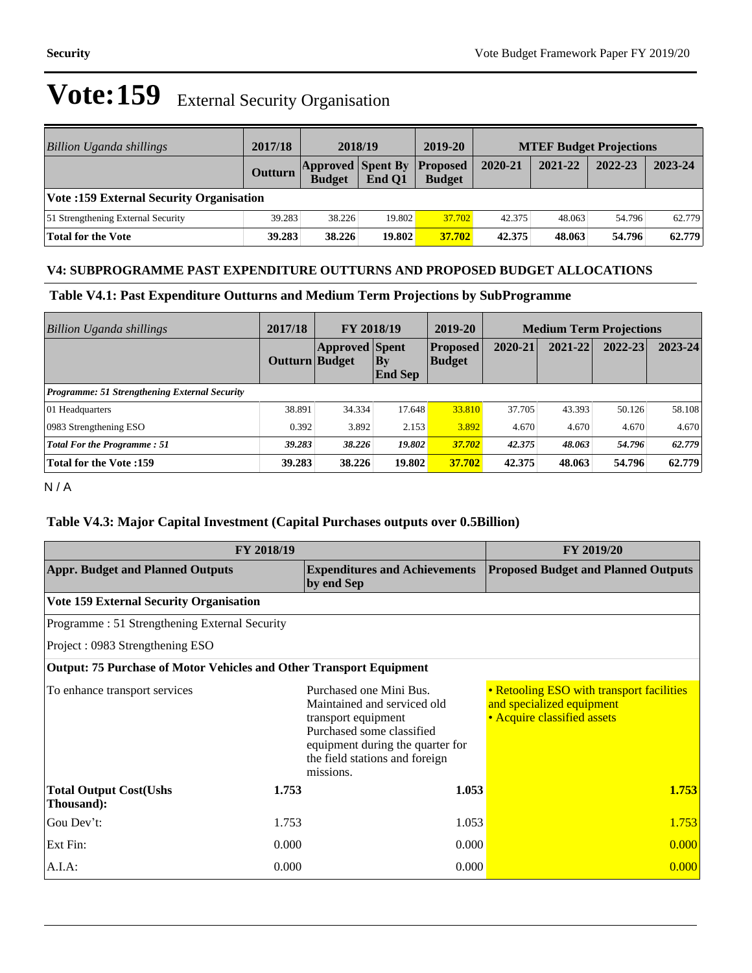| Billion Uganda shillings                       | 2017/18 | 2018/19                                            |        | 2019-20       | <b>MTEF Budget Projections</b> |         |         |         |
|------------------------------------------------|---------|----------------------------------------------------|--------|---------------|--------------------------------|---------|---------|---------|
|                                                | Outturn | <b>Approved Spent By Proposed</b><br><b>Budget</b> | End O1 | <b>Budget</b> | 2020-21                        | 2021-22 | 2022-23 | 2023-24 |
| <b>Vote:159 External Security Organisation</b> |         |                                                    |        |               |                                |         |         |         |
| 51 Strengthening External Security             | 39.283  | 38.226                                             | 19.802 | 37.702        | 42.375                         | 48.063  | 54.796  | 62.779  |
| <b>Total for the Vote</b>                      | 39.283  | 38.226                                             | 19.802 | 37.702        | 42.375                         | 48.063  | 54.796  | 62.779  |

#### **V4: SUBPROGRAMME PAST EXPENDITURE OUTTURNS AND PROPOSED BUDGET ALLOCATIONS**

**Table V4.1: Past Expenditure Outturns and Medium Term Projections by SubProgramme**

| <b>Billion Uganda shillings</b>                      | 2017/18        | FY 2018/19            |                               | 2019-20                    | <b>Medium Term Projections</b> |         |             |             |
|------------------------------------------------------|----------------|-----------------------|-------------------------------|----------------------------|--------------------------------|---------|-------------|-------------|
|                                                      | Outturn Budget | <b>Approved Spent</b> | $ {\bf By}$<br><b>End Sep</b> | <b>Proposed</b><br> Budget | 2020-21                        | 2021-22 | $2022 - 23$ | $2023 - 24$ |
| <b>Programme: 51 Strengthening External Security</b> |                |                       |                               |                            |                                |         |             |             |
| 01 Headquarters                                      | 38.891         | 34.334                | 17.648                        | 33.810                     | 37.705                         | 43.393  | 50.126      | 58.108      |
| 0983 Strengthening ESO                               | 0.392          | 3.892                 | 2.153                         | 3.892                      | 4.670                          | 4.670   | 4.670       | 4.670       |
| <b>Total For the Programme: 51</b>                   | 39.283         | 38.226                | 19.802                        | 37.702                     | 42.375                         | 48.063  | 54.796      | 62.779      |
| <b>Total for the Vote:159</b>                        | 39.283         | 38.226                | 19.802                        | 37.702                     | 42.375                         | 48.063  | 54.796      | 62.779      |

N / A

## **Table V4.3: Major Capital Investment (Capital Purchases outputs over 0.5Billion)**

|                                                                            | <b>FY 2019/20</b> |                                                                                                                                                                                               |                                                                                                       |  |
|----------------------------------------------------------------------------|-------------------|-----------------------------------------------------------------------------------------------------------------------------------------------------------------------------------------------|-------------------------------------------------------------------------------------------------------|--|
| <b>Appr. Budget and Planned Outputs</b>                                    |                   | <b>Expenditures and Achievements</b><br>by end Sep                                                                                                                                            | <b>Proposed Budget and Planned Outputs</b>                                                            |  |
| <b>Vote 159 External Security Organisation</b>                             |                   |                                                                                                                                                                                               |                                                                                                       |  |
| Programme: 51 Strengthening External Security                              |                   |                                                                                                                                                                                               |                                                                                                       |  |
| Project: 0983 Strengthening ESO                                            |                   |                                                                                                                                                                                               |                                                                                                       |  |
| <b>Output: 75 Purchase of Motor Vehicles and Other Transport Equipment</b> |                   |                                                                                                                                                                                               |                                                                                                       |  |
| To enhance transport services                                              |                   | Purchased one Mini Bus.<br>Maintained and serviced old<br>transport equipment<br>Purchased some classified<br>equipment during the quarter for<br>the field stations and foreign<br>missions. | • Retooling ESO with transport facilities<br>and specialized equipment<br>• Acquire classified assets |  |
| <b>Total Output Cost(Ushs</b><br>Thousand):                                | 1.753             | 1.053                                                                                                                                                                                         | 1.753                                                                                                 |  |
| Gou Dev't:                                                                 | 1.753             | 1.053                                                                                                                                                                                         | 1.753                                                                                                 |  |
| Ext Fin:                                                                   | 0.000             | 0.000                                                                                                                                                                                         | 0.000                                                                                                 |  |
| $A.I.A$ :                                                                  | 0.000             | 0.000                                                                                                                                                                                         | 0.000                                                                                                 |  |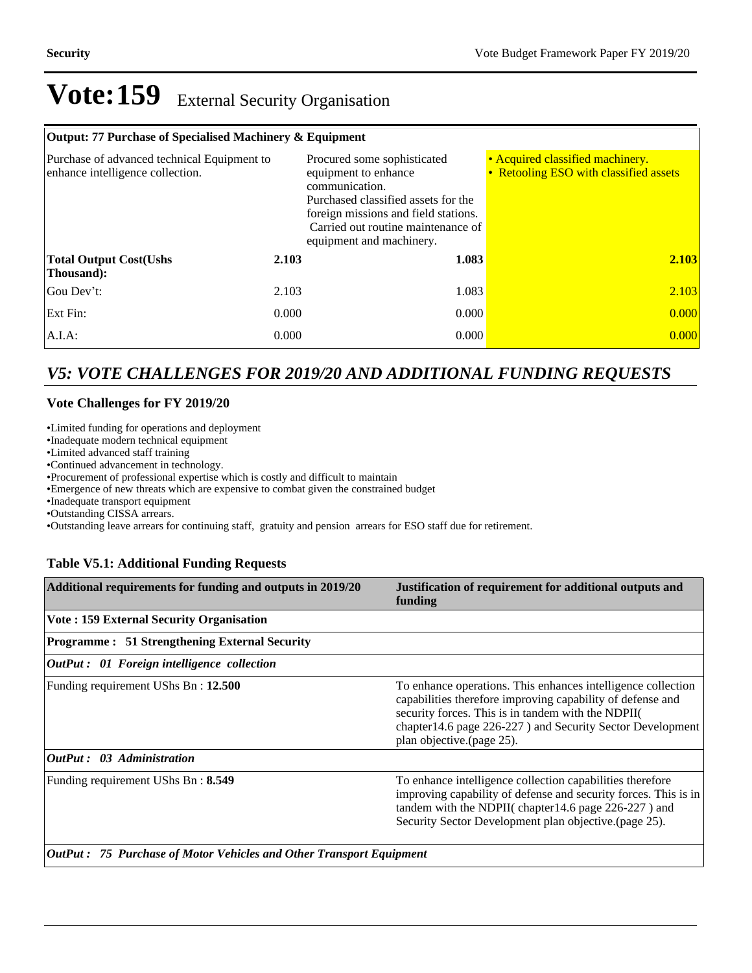#### **Output: 77 Purchase of Specialised Machinery & Equipment**

| Purchase of advanced technical Equipment to<br>enhance intelligence collection. |       | Procured some sophisticated<br>equipment to enhance<br>communication.<br>Purchased classified assets for the<br>foreign missions and field stations.<br>Carried out routine maintenance of<br>equipment and machinery. | • Acquired classified machinery.<br>• Retooling ESO with classified assets |  |  |
|---------------------------------------------------------------------------------|-------|------------------------------------------------------------------------------------------------------------------------------------------------------------------------------------------------------------------------|----------------------------------------------------------------------------|--|--|
| <b>Total Output Cost(Ushs</b><br>Thousand):                                     | 2.103 | 1.083                                                                                                                                                                                                                  | 2.103                                                                      |  |  |
| Gou Dev't:                                                                      | 2.103 | 1.083                                                                                                                                                                                                                  | 2.103                                                                      |  |  |
| Ext Fin:                                                                        | 0.000 | 0.000                                                                                                                                                                                                                  | 0.000                                                                      |  |  |
| $A.I.A$ :                                                                       | 0.000 | 0.000                                                                                                                                                                                                                  | 0.000                                                                      |  |  |

## *V5: VOTE CHALLENGES FOR 2019/20 AND ADDITIONAL FUNDING REQUESTS*

### **Vote Challenges for FY 2019/20**

Limited funding for operations and deployment

Inadequate modern technical equipment

Limited advanced staff training

Continued advancement in technology.

Procurement of professional expertise which is costly and difficult to maintain

Emergence of new threats which are expensive to combat given the constrained budget

Inadequate transport equipment

Outstanding CISSA arrears.

Outstanding leave arrears for continuing staff, gratuity and pension arrears for ESO staff due for retirement.

### **Table V5.1: Additional Funding Requests**

| Additional requirements for funding and outputs in 2019/20                  | Justification of requirement for additional outputs and<br>funding                                                                                                                                                                                                          |
|-----------------------------------------------------------------------------|-----------------------------------------------------------------------------------------------------------------------------------------------------------------------------------------------------------------------------------------------------------------------------|
| <b>Vote: 159 External Security Organisation</b>                             |                                                                                                                                                                                                                                                                             |
| <b>Programme: 51 Strengthening External Security</b>                        |                                                                                                                                                                                                                                                                             |
| <b>OutPut</b> : 01 Foreign intelligence collection                          |                                                                                                                                                                                                                                                                             |
| Funding requirement UShs Bn: 12.500                                         | To enhance operations. This enhances intelligence collection<br>capabilities therefore improving capability of defense and<br>security forces. This is in tandem with the NDPII(<br>chapter 14.6 page 226-227) and Security Sector Development<br>plan objective.(page 25). |
| <b>OutPut:</b> 03 Administration                                            |                                                                                                                                                                                                                                                                             |
| Funding requirement UShs Bn: 8.549                                          | To enhance intelligence collection capabilities therefore<br>improving capability of defense and security forces. This is in<br>tandem with the NDPII(chapter14.6 page 226-227) and<br>Security Sector Development plan objective.(page 25).                                |
| <b>OutPut : 75 Purchase of Motor Vehicles and Other Transport Equipment</b> |                                                                                                                                                                                                                                                                             |